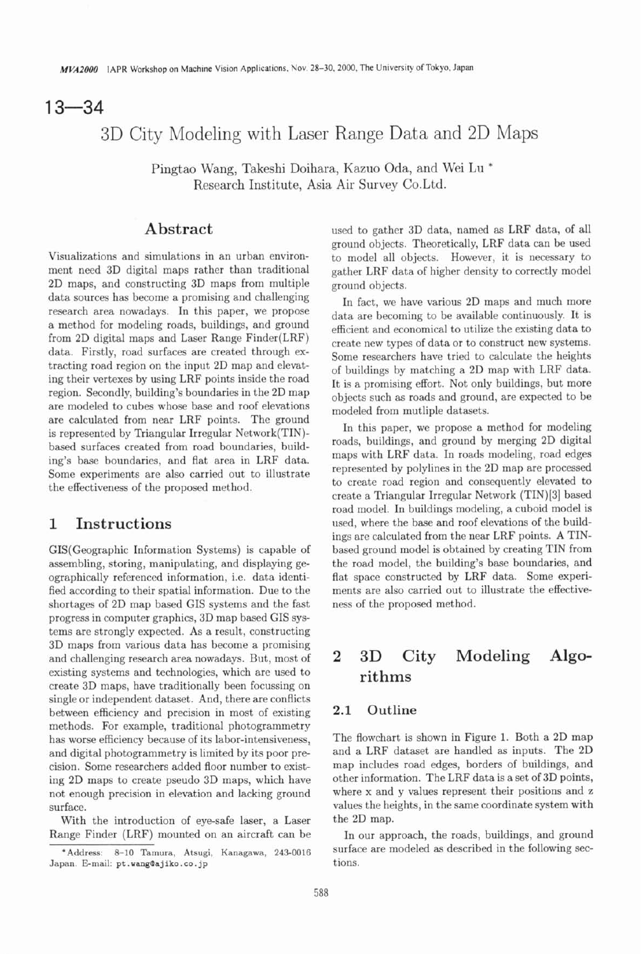# $13 - 34$

# 3D City Modeling with Laser Range Data and 2D Maps

Pingtao Wang, Takeshi Doihara, Kazuo Oda, and Wei Lu \* Research Institute, Asia Air Survey Co.Ltd.

## **Abstract**

Visualizations and simulations in an urban environment need **3D** digital maps rather than traditional **2D** maps, and constructing **3D** maps from multiple data sources has become a promising and challenging research area nowadays. In this paper, we propose a method for modeling roads, buildings, and ground from **2D** digital maps and Laser Range Finder(LRF) data. Firstly, road surfaces are created through extracting road region on the input **2D** map and elevating their vertexes by using LRF points inside the road region. Secondly, building's boundaries in the **2D** map are modeled to cubes whose base and roof elevations are calculated from near LRF points. The ground is represented by Triangular Irregular Network(T1N) based surfaces created from road boundaries, building's base boundaries, and flat area in LRF data. Some experiments are also carried out to illustrate the effectiveness of the proposed method.

## **1 Instructions**

GIS(Geographic Information Systems) is capable of assembling, storing, manipulating, and displaying geographically referenced information, i.e. data identified according to their spatial information. Due to the shortages of **2D** map based GIs systems and the fast progress in computer graphics, **3D** map based GIs systems are strongly expected. As a result, constructing **3D** maps from various data has become a promising and challenging research area nowadays. But, most of existing systems and technologies, which are used to create **3D** maps, have traditionally been focussing on single or independent dataset. And, there are conflicts between efficiency and precision in most of existing methods. For example, traditional photogrammetry has worse efficiency because of its labor-intensiveness, and digital photogrammetry is limited by its poor precision. Some researchers added floor number to existing **2D** maps to create pseudo **3D** maps, which have not enough precision in elevation and lacking ground surface.

With the introduction of eye-safe laser, a Laser Range Finder (LRF) mounted on an aircraft can be used to gather **3D** data, named **as** LRF data, of all ground objects. Theoretically, LRF data can be used to model all objects. However, it is necessary to gather LRF data of higher density to correctly model ground objects.

In fact, we have various **2D** maps and much more data are becoming to be available continuously. It is efficient and economical to utilize the existing data to create new types of data or to construct new systems. Some researchers have tried to calculate the heights of buildings by matching a **2D** map with LRF data. It is a promising effort. Not only buildings, but more objects such as roads and ground, are expected to be modeled from mutliple datasets.

In this paper, we propose a method for modeling roads, buildings, and ground by merging **2D** digital maps with LRF data. In roads modeling, road edges represented by polylines in the **2D** map are processed to create road region and consequently elevated to create a Triangular Irregular Network (TIN)[3] based road model. In buildings modeling, a cuboid model is used, where the base and roof elevations of the buildings are calculated from the near LRF points. A TINbased ground model is obtained by creating TIN from the road model, the building's base boundaries, and flat space constructed by LRF data. Some experiments are also carried out to illustrate the effectiveness of the proposed method.

## **2 3D City Modeling Algorithms**

## **2.1 Outline**

The flowchart is shown in Figure 1. Both a **2D** map and a LRF dataset are handled **as** inputs. The **2D**  map includes road edges, borders of buildings, and other information. The LRF data is a set of **3D** points, where **x** and y values represent their positions and z values the heights, in the same coordinate system with the **2D** map.

In our approach, the roads, buildings, and ground surface are modeled as described in the following sections.

**<sup>&#</sup>x27;Address: 8-10 Tamura, Atsugi, Kanagawa, 243-0016 Japan. Email: pt .vangBajiko. co. jp**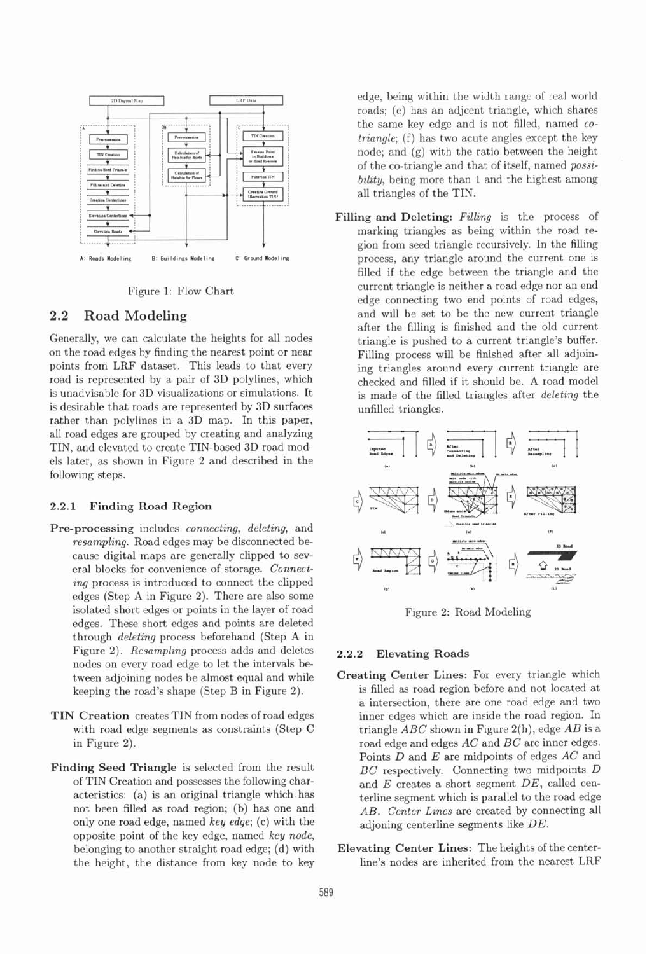

Figure 1: Flow Chart

#### **2.2 Road Modeling**

Generally, we can calculate the heights for all nodes on the road edges by finding the nearest point or near points from LRF dataset. This leads to that every road is represented by a pair of **3D** polylines, which is unadvisable for **3D** visualizations or simulations. It is desirable that roads are represented by **3D** surfaces rather than polylines in a **3D** map. In this paper, all road edges are grouped by creating and analyzing TIN, and elevated to create TIN-based **3D** road models later, as shown in Figure 2 and described in the following steps.

#### **2.2.1 Finding Road Region**

- **Pre-processing** includes connecting, deleting, and resampling. Road edges may be disconnected because digital maps are generally clipped to several blocks for convenience of storage. Connecting process is introduced to connect the clipped edges (Step **A** in Figure 2). There are also some isolated short edges or points in the layer of road edges. These short edges and points are deleted through deleting process beforehand (Step **A** in Figure **2).** Resampling process adds and deletes nodes on every road edge to let the intervals between adjoining nodes be almost equal and while keeping the road's shape (Step B in Figure 2).
- **TIN Creation** creates TIN from nodes of road edges with road edge segments as constraints (Step C in Figure 2).
- **Finding Seed Triangle** is selected from the result of TIN Creation and possesses the following characteristics: (a) is an original triangle which has not been filled as road region; (b) has one and only one road edge, named key edge; (c) with the opposite point of the key edge, named key node, belonging to another straight road edge; (d) with the height, the distance from key node to key

edge, being within the width range of real world roads; (e) has an adjcent triangle, which shares the same key edge and is not filled, named cotriangle; (f) has two acute angles except the key node; and (g) with the ratio between the height of the co-triangle and that of itself, named possibility, being more than 1 and the highest among all triangles of the TIN.

Filling and Deleting: Filling is the process of marking triangles as being within the road region from seed triangle recursively. In the filling process, any triangle around the current one is filled if the edge between the triangle and the current triangle is neither a road edge nor an end edge connecting two end points of road edges, and will be set to be the new current triangle after the filling is finished and the old current triangle is pushed to a current triangle's buffer. Filling process will be finished after all adjoining triangles around every current triangle are checked and filled if it should be. **A** road model is made of the filled triangles after deleting the unfilled triangles.



Figure 2: Road Modeling

#### **2.2.2 Elevating Roads**

- **Creating Center Lines:** For every triangle which is filled as road region before and not located at a intersection, there are one road edge and two inner edges which are inside the road region. In triangle *ABC* shown in Figure 2(h), edge *AB* is a road edge and edges *AC* and *BC* are inner edges. Points D and E are midpoints of edges *AC* and *BC* respectively. Connecting two midpoints D and E creates a short segment DE, called centerline segment which is parallel to the road edge AB. Center Lines are created by connecting all adjoning centerline segments like DE.
- **Elevating Center Lines:** The heights of the centerline's nodes are inherited from the nearest LRF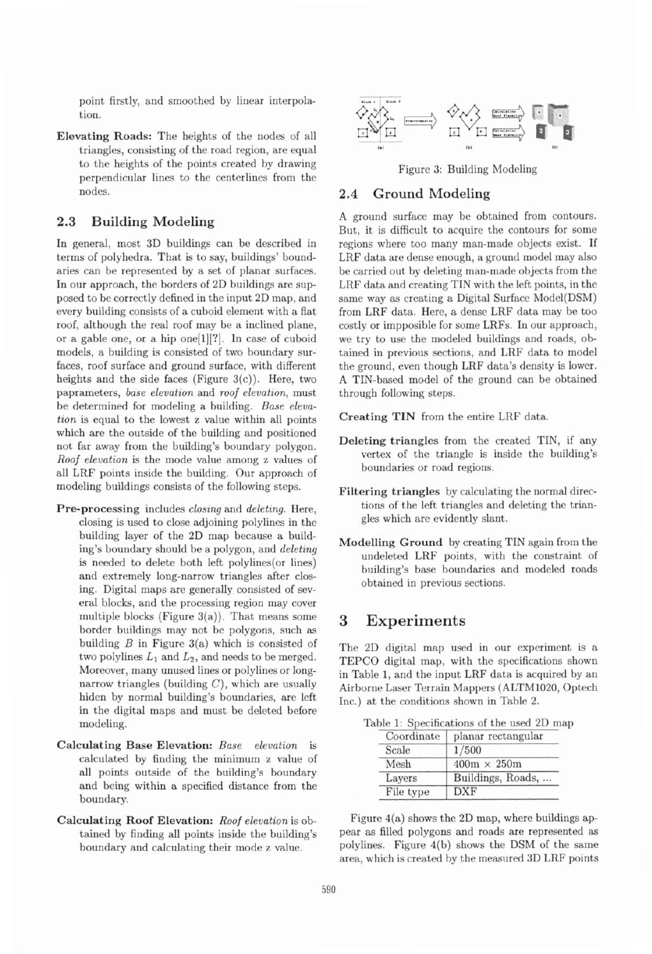point firstly, and smoothed by linear interpolation.

**Elevating Roads:** The heights of the nodes of all triangles, consisting of the road region, are equal to the heights of the points created by drawing perpendicular lines to the centerlines from the nodes.

### **2.3 Building Modeling**

In general, most 3D buildings can be described in terms of polyhedra. That is to say, buildings' boundaries can be represented by a set of planar surfaces. In our approach, the borders of 2D buildings are supposed to be correctly defined in the input 2D map, and every building consists of a cuboid element with a flat roof, although the real roof may be a inclined plane, or a gable one, or a hip one[l][?]. In case of cuboid models, a building is consisted of two boundary surfaces, roof surface and ground surface, with different heights and the side faces (Figure  $3(c)$ ). Here, two paprameters, *base elevation* and *roof elevation,* must *be* determined for modeling a building. *Base elevation* is equal to the lowest z value within all points which are the outside of the building and positioned not far away from the building's boundary polygon. *Roof elevation* is the mode value among z values of all LRF points inside the building. Our approach of modeling buildings consists of the following steps.

- **Pre-processing** includes *closing* and *deleting.* Here, closing is used to close adjoining polylines in the building layer of the 2D map because a building's boundary should be a polygon, and *deleting*  is needed to delete both left polylines(or lines) and extremely long-narrow triangles after closing. Digital maps are generally consisted of several blocks, and the processing region may cover multiple blocks (Figure  $3(a)$ ). That means some border buildings may not be polygons, such as building  $B$  in Figure 3(a) which is consisted of two polylines  $L_1$  and  $L_2$ , and needs to be merged. Moreover, many unused lines or polylines or longnarrow triangles (building  $C$ ), which are usually hiden by normal building's boundaries, are left in the digital maps and must be deleted before modeling.
- **Calculating Base Elevation:** *Base elevation* is calculated by finding the minimum z value of all points outside of the building's boundary and being within a specified distance from the boundary.
- 



Figure 3: Building Modeling

#### **2.4 Ground Modeling**

A ground surface may be obtained from contours. But, it is difficult to acquire the contours for some regions where too many man-made objects exist. If LRF data are dense enough, a ground model may also be carried out by deleting man-made objects from the LRF data and creating TIN with the left points, in the same way **as** creating a Digital Surface Model(DSM) from LRF data. Here, a dense LRF data may be too costly or impposible for some LRFs. In our approach, we try to use the modeled buildings and roads, obtained in previous sections, and LRF data to model the ground, even though LRF data's density is lower. **A** TIN-based model of the ground can be obtained through following steps.

**Creating TIN** from the entire LRF data.

- **Deleting triangles** from the created TIN, if any vertex of the triangle is inside the building's boundaries or road regions.
- **Filtering triangles** by calculating the normal directions of the left triangles and deleting the triangles which are evidently slant.
- **Modelling Ground** by creating TIN again from the undeleted LRF points, with the constraint of building's base boundaries and modeled roads obtained in previous sections.

## **3 Experiments**

The 2D digital map used in our experiment is a TEPCO digital map, with the specifications shown in Table 1, and the input LRF data is acquired by an Airborne Laser Terrain Mappers (ALTM1020, Optech Inc.) at the conditions shown in Table 2.

Table 1: Specifications of the used 2D map

| Coordinate | planar rectangular |
|------------|--------------------|
| Scale      | 1/500              |
| Mesh       | $400m \times 250m$ |
| Layers     | Buildings, Roads,  |
| File type  | <b>DXF</b>         |

**Calculating Roof Elevation:** *Roof elevation* is ob- Figure 4(a) shows the 2D map, where buildings ap tained by finding all points inside the building's pear as filled polygons and roads are represented as boundary and calculating their mode z value. polylines. Figure 4(b) shows the DSM of the same area, which is created by the measured 3D LRF points